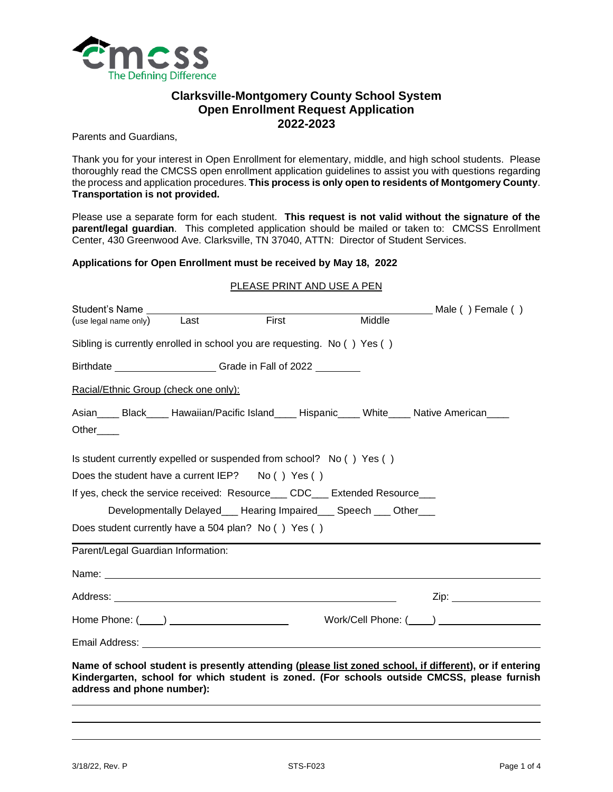

# **Clarksville-Montgomery County School System Open Enrollment Request Application 2022-2023**

Parents and Guardians,

Thank you for your interest in Open Enrollment for elementary, middle, and high school students. Please thoroughly read the CMCSS open enrollment application guidelines to assist you with questions regarding the process and application procedures. **This process is only open to residents of Montgomery County**. **Transportation is not provided.**

Please use a separate form for each student. **This request is not valid without the signature of the parent/legal guardian**. This completed application should be mailed or taken to: CMCSS Enrollment Center, 430 Greenwood Ave. Clarksville, TN 37040, ATTN: Director of Student Services.

### **Applications for Open Enrollment must be received by May 18, 2022**

#### PLEASE PRINT AND USE A PEN

| (use legal name only) Last                                                                                                                                                                                                          |  | First | Middle | Male () Female ()        |  |
|-------------------------------------------------------------------------------------------------------------------------------------------------------------------------------------------------------------------------------------|--|-------|--------|--------------------------|--|
| Sibling is currently enrolled in school you are requesting. No () Yes ()                                                                                                                                                            |  |       |        |                          |  |
| Birthdate ________________________Grade in Fall of 2022 _________                                                                                                                                                                   |  |       |        |                          |  |
| Racial/Ethnic Group (check one only):                                                                                                                                                                                               |  |       |        |                          |  |
| Asian______Black______Hawaiian/Pacific Island______Hispanic______White_____Native American______<br>Other____                                                                                                                       |  |       |        |                          |  |
| Is student currently expelled or suspended from school? No () Yes ()                                                                                                                                                                |  |       |        |                          |  |
| Does the student have a current $IEP$ ? No () Yes ()                                                                                                                                                                                |  |       |        |                          |  |
| If yes, check the service received: Resource___ CDC___ Extended Resource___                                                                                                                                                         |  |       |        |                          |  |
| Developmentally Delayed ___ Hearing Impaired ___ Speech ___ Other ___                                                                                                                                                               |  |       |        |                          |  |
| Does student currently have a 504 plan? No () Yes ()                                                                                                                                                                                |  |       |        |                          |  |
| Parent/Legal Guardian Information:                                                                                                                                                                                                  |  |       |        |                          |  |
| Name: Name: Name: Name: Name: Name: Name: Name: Name: Name: Name: Name: Name: Name: Name: Name: Name: Name: Name: Name: Name: Name: Name: Name: Name: Name: Name: Name: Name: Name: Name: Name: Name: Name: Name: Name: Name:       |  |       |        |                          |  |
|                                                                                                                                                                                                                                     |  |       |        | Zip: ___________________ |  |
| Home Phone: $(\_\_\_)$                                                                                                                                                                                                              |  |       |        | Work/Cell Phone: ( )     |  |
|                                                                                                                                                                                                                                     |  |       |        |                          |  |
| Name of school student is presently attending (please list zoned school, if different), or if entering<br>Kindergarten, school for which student is zoned. (For schools outside CMCSS, please furnish<br>address and phone number): |  |       |        |                          |  |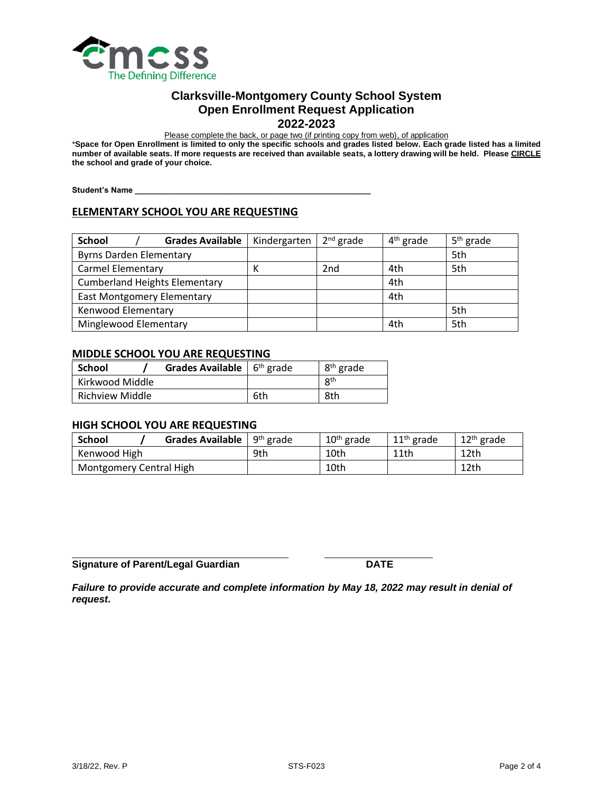

## **Clarksville-Montgomery County School System Open Enrollment Request Application 2022-2023**

Please complete the back, or page two (if printing copy from web), of application

\***Space for Open Enrollment is limited to only the specific schools and grades listed below. Each grade listed has a limited number of available seats. If more requests are received than available seats, a lottery drawing will be held. Please CIRCLE the school and grade of your choice.**

**Student's Name \_\_\_\_\_\_\_\_\_\_\_\_\_\_\_\_\_\_\_\_\_\_\_\_\_\_\_\_\_\_\_\_\_\_\_\_\_\_\_\_\_\_\_\_\_\_\_\_\_\_\_\_\_**

# **ELEMENTARY SCHOOL YOU ARE REQUESTING**

| <b>School</b><br><b>Grades Available</b> | Kindergarten | $2^{nd}$ grade  | $4th$ grade | 5 <sup>th</sup> grade |
|------------------------------------------|--------------|-----------------|-------------|-----------------------|
| <b>Byrns Darden Elementary</b>           |              |                 |             | 5th                   |
| <b>Carmel Elementary</b>                 | к            | 2 <sub>nd</sub> | 4th         | 5th                   |
| <b>Cumberland Heights Elementary</b>     |              |                 | 4th         |                       |
| <b>East Montgomery Elementary</b>        |              |                 | 4th         |                       |
| Kenwood Elementary                       |              |                 |             | 5th                   |
| Minglewood Elementary                    |              |                 | 4th         | 5th                   |

### **MIDDLE SCHOOL YOU ARE REQUESTING**

| <b>School</b>          | <b>Grades Available</b> $6th$ grade |     | 8 <sup>th</sup> grade |
|------------------------|-------------------------------------|-----|-----------------------|
| Kirkwood Middle        |                                     |     | 8 <sup>th</sup>       |
| <b>Richview Middle</b> |                                     | 6th | 8th                   |

## **HIGH SCHOOL YOU ARE REQUESTING**

| <b>Grades Available</b> $\frac{1}{2}$ 9 <sup>th</sup> grade<br><b>School</b> |     | $10th$ grade | $11th$ grade | $12th$ grade |
|------------------------------------------------------------------------------|-----|--------------|--------------|--------------|
| Kenwood High                                                                 | 9th | 10th         | 11th         | 12th         |
| Montgomery Central High                                                      |     | 10th         |              | 12th         |

**Signature of Parent/Legal Guardian DATE**

*Failure to provide accurate and complete information by May 18, 2022 may result in denial of request.*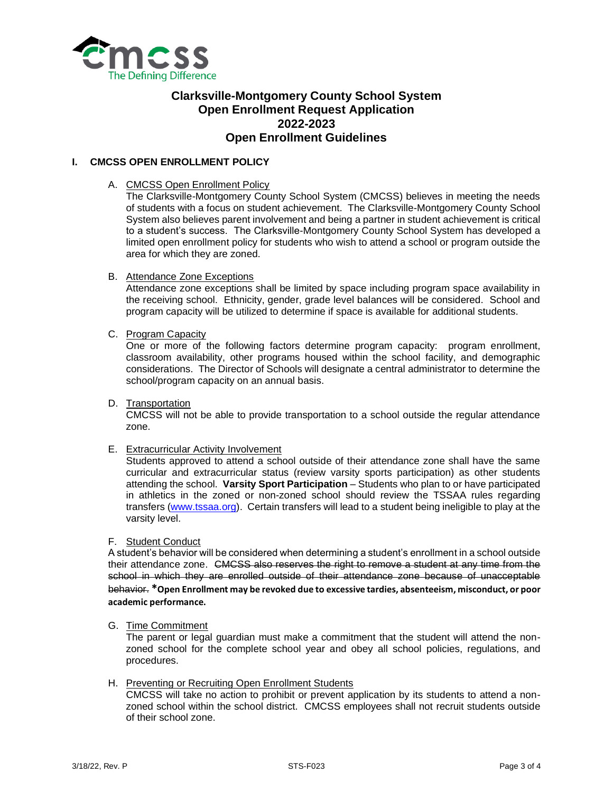

# **Clarksville-Montgomery County School System Open Enrollment Request Application 2022-2023 Open Enrollment Guidelines**

## **I. CMCSS OPEN ENROLLMENT POLICY**

A. CMCSS Open Enrollment Policy

The Clarksville-Montgomery County School System (CMCSS) believes in meeting the needs of students with a focus on student achievement. The Clarksville-Montgomery County School System also believes parent involvement and being a partner in student achievement is critical to a student's success. The Clarksville-Montgomery County School System has developed a limited open enrollment policy for students who wish to attend a school or program outside the area for which they are zoned.

B. Attendance Zone Exceptions

Attendance zone exceptions shall be limited by space including program space availability in the receiving school. Ethnicity, gender, grade level balances will be considered. School and program capacity will be utilized to determine if space is available for additional students.

C. Program Capacity

One or more of the following factors determine program capacity: program enrollment, classroom availability, other programs housed within the school facility, and demographic considerations. The Director of Schools will designate a central administrator to determine the school/program capacity on an annual basis.

D. Transportation

CMCSS will not be able to provide transportation to a school outside the regular attendance zone.

E. Extracurricular Activity Involvement

Students approved to attend a school outside of their attendance zone shall have the same curricular and extracurricular status (review varsity sports participation) as other students attending the school. **Varsity Sport Participation** – Students who plan to or have participated in athletics in the zoned or non-zoned school should review the TSSAA rules regarding transfers [\(www.tssaa.org\)](http://www.tssaa.org/). Certain transfers will lead to a student being ineligible to play at the varsity level.

F. Student Conduct

A student's behavior will be considered when determining a student's enrollment in a school outside their attendance zone. CMCSS also reserves the right to remove a student at any time from the school in which they are enrolled outside of their attendance zone because of unacceptable behavior. **\*Open Enrollment may be revoked due to excessive tardies, absenteeism, misconduct, or poor academic performance.**

G. Time Commitment

The parent or legal guardian must make a commitment that the student will attend the nonzoned school for the complete school year and obey all school policies, regulations, and procedures.

H. Preventing or Recruiting Open Enrollment Students

CMCSS will take no action to prohibit or prevent application by its students to attend a nonzoned school within the school district. CMCSS employees shall not recruit students outside of their school zone.